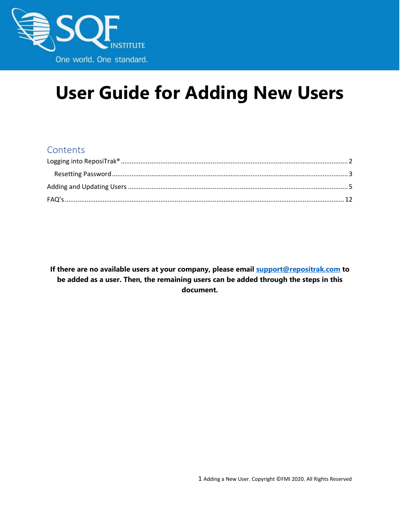

# **User Guide for Adding New Users**

### **Contents**

**If there are no available users at your company, please email support@repositrak.com to be added as a user. Then, the remaining users can be added through the steps in this document.**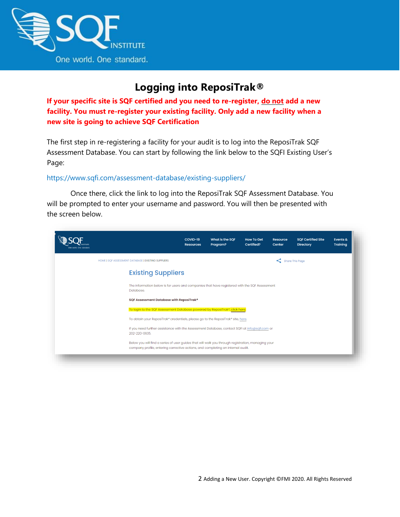

## **Logging into ReposiTrak®**

<span id="page-1-0"></span>**If your specific site is SQF certified and you need to re-register, do not add a new facility. You must re-register your existing facility. Only add a new facility when a new site is going to achieve SQF Certification**

The first step in re-registering a facility for your audit is to log into the ReposiTrak SQF Assessment Database. You can start by following the link below to the SQFI Existing User's Page:

#### <https://www.sqfi.com/assessment-database/existing-suppliers/>

Once there, click the link to log into the ReposiTrak SQF Assessment Database. You will be prompted to enter your username and password. You will then be presented with the screen below.

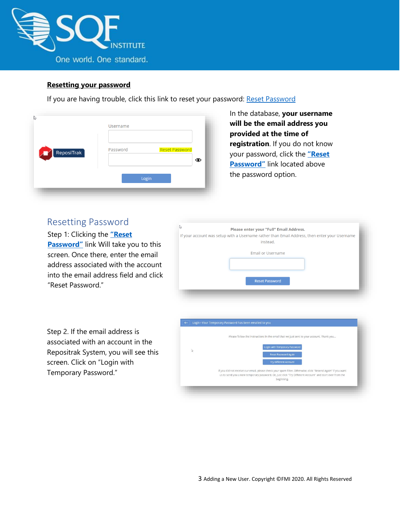

#### **Resetting your password**

If you are having trouble, click this link to reset your password: [Reset Password](https://www.ac.parkcitygroup.com/application/vwavecgi/private/vialink.cgi/login/app)

| ß                               | Username |                            |
|---------------------------------|----------|----------------------------|
| $\sqrt{\phantom{a}}$ ReposiTrak | Password | <b>Reset Password</b><br>ൈ |
|                                 |          | Login                      |

In the database, **your username will be the email address you provided at the time of registration**. If you do not know your password, click the **["Reset](https://www.ac.parkcitygroup.com/application/vwavecgi/private/vialink2.cgi/submit)  [Password"](https://www.ac.parkcitygroup.com/application/vwavecgi/private/vialink2.cgi/submit)** link located above the password option.

### <span id="page-2-0"></span>Resetting Password

Step 1: Clicking the **["Reset](https://www.ac.parkcitygroup.com/application/vwavecgi/private/vialink2.cgi/submit)  [Password"](https://www.ac.parkcitygroup.com/application/vwavecgi/private/vialink2.cgi/submit)** link Will take you to this screen. Once there, enter the email address associated with the account into the email address field and click "Reset Password."

| い | Please enter your "Full" Email Address.                                                                   |
|---|-----------------------------------------------------------------------------------------------------------|
|   | If your account was setup with a Username rather than Email Address, then enter your Username<br>instead. |
|   | <b>Email or Username</b>                                                                                  |
|   | <b>Reset Password</b>                                                                                     |

Step 2. If the email address is associated with an account in the Repositrak System, you will see this screen. Click on "Login with Temporary Password."

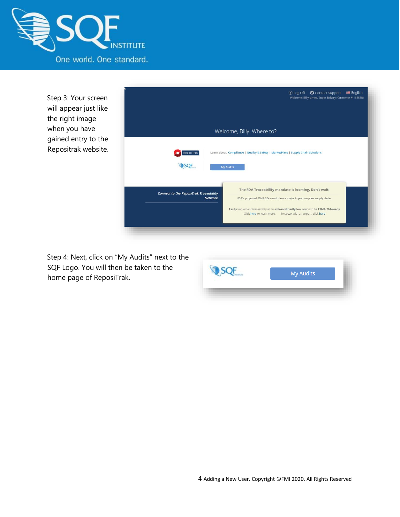

Step 3: Your screen will appear just like the right image when you have gained entry to the Repositrak website.



Step 4: Next, click on "My Audits" next to the SQF Logo. You will then be taken to the home page of ReposiTrak.

| <b>My Audits</b> |
|------------------|
|                  |
|                  |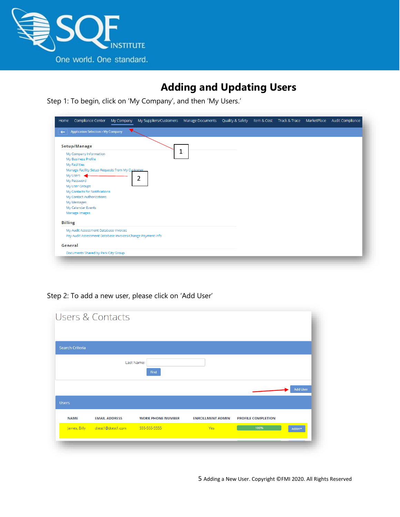

# **Adding and Updating Users**

<span id="page-4-0"></span>Step 1: To begin, click on 'My Company', and then 'My Users.'

| <b>Application Selection &gt; My Company</b><br>$\leftarrow$ |   |  |  |  |
|--------------------------------------------------------------|---|--|--|--|
|                                                              |   |  |  |  |
| Setup/Manage                                                 |   |  |  |  |
| My Company Information                                       | 1 |  |  |  |
| My Business Profile                                          |   |  |  |  |
| My Facilities                                                |   |  |  |  |
| Manage Facility Setup Requests from My Customer              |   |  |  |  |
| My Users                                                     |   |  |  |  |
| My Password                                                  | 2 |  |  |  |
| My User Groups                                               |   |  |  |  |
| My Contacts for Notifications                                |   |  |  |  |
| My Contact Authorizations                                    |   |  |  |  |
| My Messages                                                  |   |  |  |  |
| My Calendar Events                                           |   |  |  |  |
| Manage Images                                                |   |  |  |  |
| <b>Billing</b>                                               |   |  |  |  |
| My Audit Assessment Database Invoices                        |   |  |  |  |
| Pay Audit Assessment Database Invoices/Change Payment Info   |   |  |  |  |
| General                                                      |   |  |  |  |
| Documents Shared by Park City Group                          |   |  |  |  |

Step 2: To add a new user, please click on 'Add User'

| Search Criteria |                      |                          |                         |                           |                 |
|-----------------|----------------------|--------------------------|-------------------------|---------------------------|-----------------|
|                 |                      | Last Name:<br>Find       |                         |                           |                 |
|                 |                      |                          |                         |                           |                 |
|                 |                      |                          |                         |                           | <b>Add User</b> |
| <b>Users</b>    |                      |                          |                         |                           |                 |
| <b>NAME</b>     | <b>EMAIL ADDRESS</b> | <b>WORK PHONE NUMBER</b> | <b>ENROLLMENT ADMIN</b> | <b>PROFILE COMPLETION</b> |                 |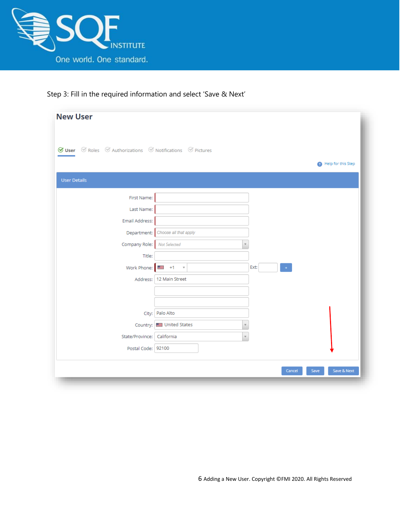



| <b>New User</b>                                                                                                   |                              |                              |                     |
|-------------------------------------------------------------------------------------------------------------------|------------------------------|------------------------------|---------------------|
| $\mathcal G$ User $\mathcal G$ Roles $\mathcal G$ Authorizations $\mathcal G$ Notifications $\mathcal G$ Pictures |                              |                              | Help for this Step  |
| <b>User Details</b>                                                                                               |                              |                              |                     |
| First Name:                                                                                                       |                              |                              |                     |
| Last Name:                                                                                                        |                              |                              |                     |
| Email Address:                                                                                                    |                              |                              |                     |
| Department:                                                                                                       | Choose all that apply        |                              |                     |
| Company Role:                                                                                                     | Not Selected<br>$\mathbf v$  |                              |                     |
| Title:                                                                                                            |                              |                              |                     |
| Work Phone:                                                                                                       | $+1$<br>$\;$ $\;$<br>ک       | Ext:<br>$\ddot{\phantom{0}}$ |                     |
| Address:                                                                                                          | 12 Main Street               |                              |                     |
|                                                                                                                   |                              |                              |                     |
|                                                                                                                   |                              |                              |                     |
| City:                                                                                                             | Palo Alto                    |                              |                     |
| Country:                                                                                                          | United States<br>$\mathbf v$ |                              |                     |
| State/Province: California                                                                                        | $\scriptstyle\rm w$          |                              |                     |
| Postal Code: 92100                                                                                                |                              |                              |                     |
|                                                                                                                   |                              |                              |                     |
|                                                                                                                   |                              | Cancel                       | Save & Next<br>Save |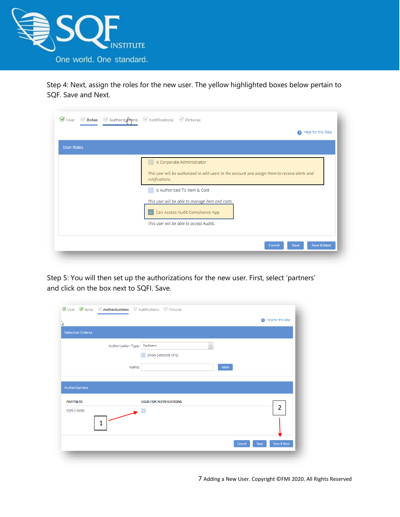

Step 4: Next, assign the roles for the new user. The yellow highlighted boxes below pertain to SQF. Save and Next.

|                   | Help for this Step<br>$\bullet$                                                                                                                                                                                                    |
|-------------------|------------------------------------------------------------------------------------------------------------------------------------------------------------------------------------------------------------------------------------|
| <b>User Roles</b> |                                                                                                                                                                                                                                    |
|                   | Is Corporate Administrator<br>This user will be authorized to add users to the account and assign them to receive alerts and<br>notifications.<br>Is Authorized To Item & Cost<br>This user will be able to manage item and costs. |
|                   | Can Access Audit Compliance App<br>This user will be able to access Audits.                                                                                                                                                        |

Step 5: You will then set up the authorizations for the new user. First, select 'partners' and click on the box next to SQFI. Save.

|                           |                     |                                |             | Help for this Step |
|---------------------------|---------------------|--------------------------------|-------------|--------------------|
| <b>Selection Criteria</b> |                     |                                |             |                    |
|                           | Authorization Type: | Partners<br>Show Selected Only | $\mathbf v$ |                    |
|                           | Name:               |                                | Apply       |                    |
| Authorizations            |                     |                                |             |                    |
| <b>PARTNERS</b>           |                     | <b>USED FOR NOTIFICATIONS</b>  |             |                    |
|                           |                     |                                |             | $\overline{2}$     |
| SQFI (18038)              | $\rightarrow$<br>1  |                                |             |                    |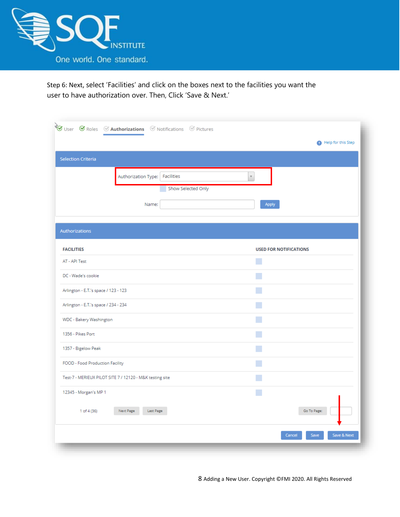

Step 6: Next, select 'Facilities' and click on the boxes next to the facilities you want the user to have authorization over. Then, Click 'Save & Next.'

|                                      |                                                          |                    |                                     | Help for this Step            |
|--------------------------------------|----------------------------------------------------------|--------------------|-------------------------------------|-------------------------------|
| <b>Selection Criteria</b>            |                                                          |                    |                                     |                               |
|                                      | Authorization Type: Facilities                           |                    | $\overline{\phantom{a}}$            |                               |
|                                      |                                                          | Show Selected Only |                                     |                               |
|                                      | Name:                                                    |                    | Apply                               |                               |
| Authorizations                       |                                                          |                    |                                     |                               |
|                                      |                                                          |                    |                                     |                               |
| <b>FACILITIES</b><br>AT - API Test   |                                                          |                    | <b>USED FOR NOTIFICATIONS</b><br>P. |                               |
| DC - Wade's cookie                   |                                                          |                    |                                     |                               |
| Arlington - E.T.'s space / 123 - 123 |                                                          |                    |                                     |                               |
| Arlington - E.T.'s space / 234 - 234 |                                                          |                    |                                     |                               |
| WDC - Bakery Washington              |                                                          |                    |                                     |                               |
| 1356 - Pikes Port                    |                                                          |                    |                                     |                               |
| 1357 - Bigelow Peak                  |                                                          |                    |                                     |                               |
| FOOD - Food Production Facility      |                                                          |                    |                                     |                               |
|                                      | Test-7 - MERIEUX PILOT SITE 7 / 12120 - M&K testing site |                    |                                     |                               |
| 12345 - Morgan's MP 1                |                                                          |                    |                                     |                               |
| 1 of 4 (36)                          | Next Page<br>Last Page                                   |                    |                                     | Go To Page:                   |
|                                      |                                                          |                    |                                     | Save<br>Save & Next<br>Cancel |

8 Adding a New User. Copyright ©FMI 2020. All Rights Reserved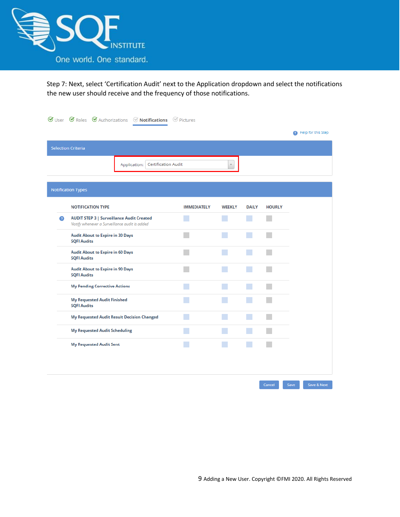

Step 7: Next, select 'Certification Audit' next to the Application dropdown and select the notifications the new user should receive and the frequency of those notifications.

|   |                                                                                                   | $\mathcal G$ User $\mathcal G$ Roles $\mathcal G$ Authorizations $\mathcal G$ Notifications $\mathcal G$ Pictures |                    |                         |                   |               |      |                    |
|---|---------------------------------------------------------------------------------------------------|-------------------------------------------------------------------------------------------------------------------|--------------------|-------------------------|-------------------|---------------|------|--------------------|
|   |                                                                                                   |                                                                                                                   |                    |                         |                   |               |      | Help for this Step |
|   | <b>Selection Criteria</b>                                                                         |                                                                                                                   |                    |                         |                   |               |      |                    |
|   |                                                                                                   | Application:   Certification Audit                                                                                |                    | $\overline{\mathbf{v}}$ |                   |               |      |                    |
|   |                                                                                                   |                                                                                                                   |                    |                         |                   |               |      |                    |
|   | <b>Notification Types</b>                                                                         |                                                                                                                   |                    |                         |                   |               |      |                    |
|   | <b>NOTIFICATION TYPE</b>                                                                          |                                                                                                                   | <b>IMMEDIATELY</b> | <b>WEEKLY</b>           | <b>DAILY</b>      | <b>HOURLY</b> |      |                    |
| Ω | <b>AUDIT STEP 3   Surveillance Audit Created</b><br>Notify whenever a Surveillance audit is added |                                                                                                                   |                    |                         | M                 |               |      |                    |
|   | <b>Audit About to Expire in 30 Days</b><br><b>SQFI Audits</b>                                     |                                                                                                                   |                    |                         | <b>CONTRACTOR</b> |               |      |                    |
|   | <b>Audit About to Expire in 60 Days</b><br><b>SQFI Audits</b>                                     |                                                                                                                   |                    |                         | <b>CONTRACTOR</b> |               |      |                    |
|   | <b>Audit About to Expire in 90 Days</b><br><b>SQFI Audits</b>                                     |                                                                                                                   |                    |                         | <b>CONTRACTOR</b> |               |      |                    |
|   | <b>My Pending Corrective Actions</b>                                                              |                                                                                                                   |                    |                         |                   |               |      |                    |
|   | <b>My Requested Audit Finished</b><br><b>SQFI Audits</b>                                          |                                                                                                                   |                    |                         |                   |               |      |                    |
|   |                                                                                                   | My Requested Audit Result Decision Changed                                                                        |                    |                         | <b>CONTRACTOR</b> |               |      |                    |
|   | <b>My Requested Audit Scheduling</b>                                                              |                                                                                                                   |                    |                         |                   |               |      |                    |
|   | <b>My Requested Audit Sent</b>                                                                    |                                                                                                                   |                    |                         |                   |               |      |                    |
|   |                                                                                                   |                                                                                                                   |                    |                         |                   |               |      |                    |
|   |                                                                                                   |                                                                                                                   |                    |                         |                   |               |      |                    |
|   |                                                                                                   |                                                                                                                   |                    |                         |                   | Cancel        | Save | Save & Next        |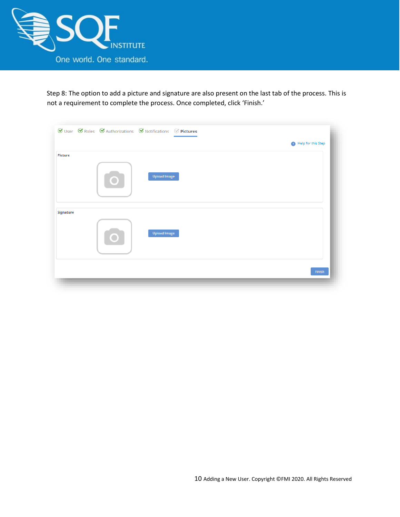

Step 8: The option to add a picture and signature are also present on the last tab of the process. This is not a requirement to complete the process. Once completed, click 'Finish.'

|           | $\mathcal G$ User $\mathcal G$ Roles $\mathcal G$ Authorizations $\mathcal G$ Notifications $\mathcal G$ Pictures |                    |
|-----------|-------------------------------------------------------------------------------------------------------------------|--------------------|
|           |                                                                                                                   | Help for this Step |
| Picture   |                                                                                                                   |                    |
|           | <b>Upload Image</b><br><b>O</b>                                                                                   |                    |
| Signature |                                                                                                                   |                    |
|           | <b>Upload Image</b><br>O                                                                                          |                    |
|           |                                                                                                                   |                    |
|           |                                                                                                                   | Finish             |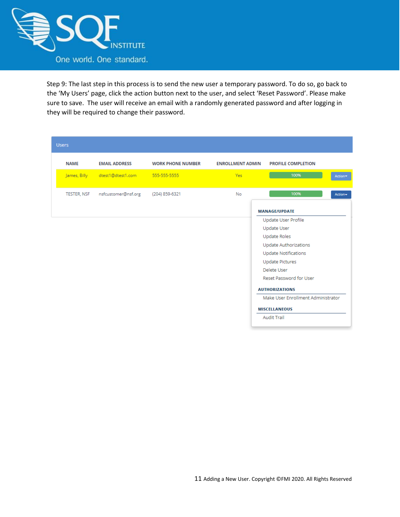

Step 9: The last step in this process is to send the new user a temporary password. To do so, go back to the 'My Users' page, click the action button next to the user, and select 'Reset Password'. Please make sure to save. The user will receive an email with a randomly generated password and after logging in they will be required to change their password.

| <b>Users</b> |                                             |                          |                         |                                    |         |
|--------------|---------------------------------------------|--------------------------|-------------------------|------------------------------------|---------|
| <b>NAME</b>  | <b>EMAIL ADDRESS</b>                        | <b>WORK PHONE NUMBER</b> | <b>ENROLLMENT ADMIN</b> | <b>PROFILE COMPLETION</b>          |         |
|              | James, Billy dtest1@dtest1.com 555-555-5555 |                          | Yes:                    | 100%                               | Action* |
| TESTER, NSF  | nsfcustomer@nsf.org                         | (204) 859-6321           | No                      | 100%                               | Action- |
|              |                                             |                          |                         | <b>MANAGE/UPDATE</b>               |         |
|              |                                             |                          |                         | Update User Profile                |         |
|              |                                             |                          |                         | <b>Update User</b>                 |         |
|              |                                             |                          |                         | <b>Update Roles</b>                |         |
|              |                                             |                          |                         | Update Authorizations              |         |
|              |                                             |                          |                         | <b>Update Notifications</b>        |         |
|              |                                             |                          |                         | <b>Update Pictures</b>             |         |
|              |                                             |                          |                         | Delete User                        |         |
|              |                                             |                          |                         | Reset Password for User            |         |
|              |                                             |                          |                         | <b>AUTHORIZATIONS</b>              |         |
|              |                                             |                          |                         | Make User Enrollment Administrator |         |
|              |                                             |                          |                         | <b>MISCELLANEOUS</b>               |         |
|              |                                             |                          |                         | <b>Audit Trail</b>                 |         |